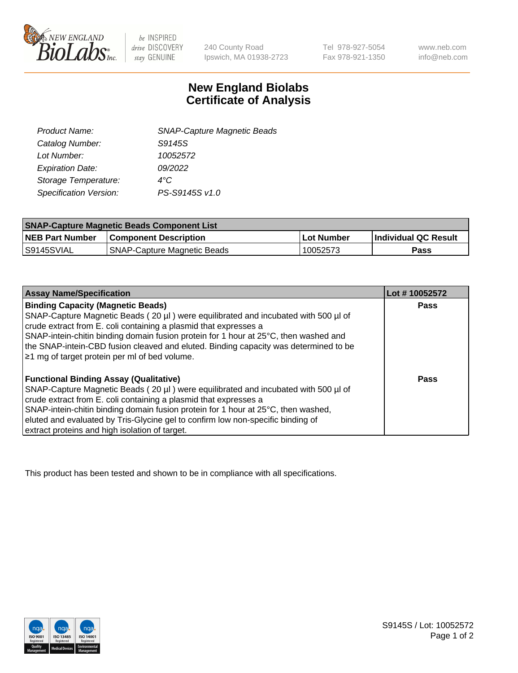

 $be$  INSPIRED drive DISCOVERY stay GENUINE

240 County Road Ipswich, MA 01938-2723 Tel 978-927-5054 Fax 978-921-1350 www.neb.com info@neb.com

## **New England Biolabs Certificate of Analysis**

| <b>SNAP-Capture Magnetic Beads</b> |
|------------------------------------|
| S9145S                             |
| 10052572                           |
| 09/2022                            |
| $4^{\circ}$ C                      |
| PS-S9145S v1.0                     |
|                                    |

| <b>SNAP-Capture Magnetic Beads Component List</b> |                                    |                   |                      |  |
|---------------------------------------------------|------------------------------------|-------------------|----------------------|--|
| <b>NEB Part Number</b>                            | <b>Component Description</b>       | <b>Lot Number</b> | Individual QC Result |  |
| IS9145SVIAL                                       | <b>SNAP-Capture Magnetic Beads</b> | 10052573          | Pass                 |  |

| <b>Assay Name/Specification</b>                                                      | Lot #10052572 |
|--------------------------------------------------------------------------------------|---------------|
| <b>Binding Capacity (Magnetic Beads)</b>                                             | <b>Pass</b>   |
| SNAP-Capture Magnetic Beads (20 µl) were equilibrated and incubated with 500 µl of   |               |
| crude extract from E. coli containing a plasmid that expresses a                     |               |
| SNAP-intein-chitin binding domain fusion protein for 1 hour at 25°C, then washed and |               |
| the SNAP-intein-CBD fusion cleaved and eluted. Binding capacity was determined to be |               |
| $\geq$ 1 mg of target protein per ml of bed volume.                                  |               |
|                                                                                      |               |
| <b>Functional Binding Assay (Qualitative)</b>                                        | Pass          |
| SNAP-Capture Magnetic Beads (20 µl) were equilibrated and incubated with 500 µl of   |               |
| crude extract from E. coli containing a plasmid that expresses a                     |               |
| SNAP-intein-chitin binding domain fusion protein for 1 hour at 25°C, then washed,    |               |
| eluted and evaluated by Tris-Glycine gel to confirm low non-specific binding of      |               |
| extract proteins and high isolation of target.                                       |               |

This product has been tested and shown to be in compliance with all specifications.